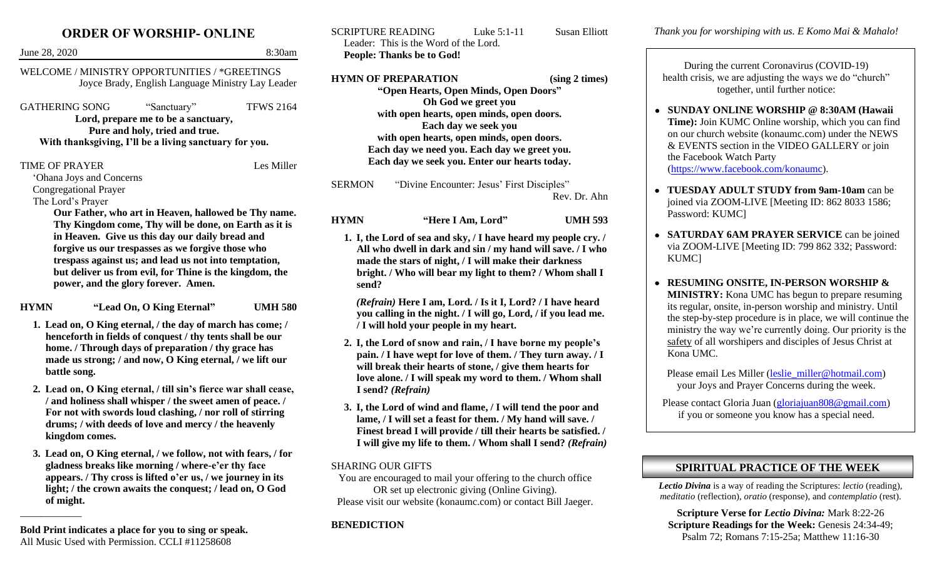## **ORDER OF WORSHIP- ONLINE**

| June 28, 2020                                                                                                                                                                                                                                                                                                                                                                    |                                                                                                                                                | 8:30am           | Lead<br>Peop                                          |
|----------------------------------------------------------------------------------------------------------------------------------------------------------------------------------------------------------------------------------------------------------------------------------------------------------------------------------------------------------------------------------|------------------------------------------------------------------------------------------------------------------------------------------------|------------------|-------------------------------------------------------|
| WELCOME / MINISTRY OPPORTUNITIES / *GREETINGS<br>Joyce Brady, English Language Ministry Lay Leader                                                                                                                                                                                                                                                                               |                                                                                                                                                |                  | <b>HYMN</b>                                           |
| <b>GATHERING SONG</b>                                                                                                                                                                                                                                                                                                                                                            | "Sanctuary"<br>Lord, prepare me to be a sanctuary,<br>Pure and holy, tried and true.<br>With thanksgiving, I'll be a living sanctuary for you. | <b>TFWS 2164</b> |                                                       |
| <b>TIME OF PRAYER</b><br>'Ohana Joys and Concerns<br><b>Congregational Prayer</b><br>The Lord's Prayer                                                                                                                                                                                                                                                                           |                                                                                                                                                | Les Miller       | <b>SERMO</b>                                          |
| Our Father, who art in Heaven, hallowed be Thy name.<br>Thy Kingdom come, Thy will be done, on Earth as it is<br>in Heaven. Give us this day our daily bread and<br>forgive us our trespasses as we forgive those who<br>trespass against us; and lead us not into temptation,<br>but deliver us from evil, for Thine is the kingdom, the<br>power, and the glory forever. Amen. |                                                                                                                                                |                  | <b>HYMN</b><br>1. I,<br>$\mathbf{A}$<br>m<br>bı<br>se |
| "Lead On, O King Eternal"<br><b>HYMN</b><br><b>UMH 580</b><br>1. Lead on, O King eternal, / the day of march has come; /<br>henceforth in fields of conquest / thy tents shall be our<br>home. / Through days of preparation / thy grace has<br>made us strong; / and now, O King eternal, / we lift our<br>battle song.                                                         |                                                                                                                                                |                  | (R)<br>yo<br>/ 1<br>2. I,<br>pa<br>W<br>$\mathbf{I}$  |
| 2. Lead on, O King eternal, / till sin's fierce war shall cease,<br>/ and holiness shall whisper / the sweet amen of peace. /<br>For not with swords loud clashing, / nor roll of stirring<br>drums; / with deeds of love and mercy / the heavenly<br>kingdom comes.                                                                                                             |                                                                                                                                                |                  | $\mathbf{I}$<br>3. I,<br>la<br>Fi                     |

**3. Lead on, O King eternal, / we follow, not with fears, / for gladness breaks like morning / where-e'er thy face appears. / Thy cross is lifted o'er us, / we journey in its light; / the crown awaits the conquest; / lead on, O God of might.** 

\_\_\_\_\_\_\_\_\_\_\_\_

SCRIPTURE READING Luke 5:1-11 Susan Elliott er: This is the Word of the Lord. **People: Thanks be to God!**

**Hermitted STARE PREPARATION** (sing 2 times) **"Open Hearts, Open Minds, Open Doors" Oh God we greet you with open hearts, open minds, open doors. Each day we seek you with open hearts, open minds, open doors. Each day we need you. Each day we greet you. Each day we seek you. Enter our hearts today.**

N "Divine Encounter: Jesus' First Disciples" Rev. Dr. Ahn

> **HYMN "Here I Am, Lord" UMH 593 1. I, the Lord of sea and sky, / I have heard my people cry. /**

**All who dwell in dark and sin / my hand will save. / I who made the stars of night, / I will make their darkness bright. / Who will bear my light to them? / Whom shall I send?** 

*(Refrain)* **Here I am, Lord. / Is it I, Lord? / I have heard you calling in the night. / I will go, Lord, / if you lead me.**  *<u>l</u>* will hold your people in my heart.

- **2. I, the Lord of snow and rain, / I have borne my people's pain. / I have wept for love of them. / They turn away. / I will break their hearts of stone, / give them hearts for love alone. / I will speak my word to them. / Whom shall I send?** *(Refrain)*
- **3. I, the Lord of wind and flame, / I will tend the poor and lame, / I will set a feast for them. / My hand will save. / Finest bread I will provide / till their hearts be satisfied. / I will give my life to them. / Whom shall I send?** *(Refrain)*

### SHARING OUR GIFTS

You are encouraged to mail your offering to the church office OR set up electronic giving (Online Giving). Please visit our website (konaumc.com) or contact Bill Jaeger.

### **BENEDICTION**

*Thank you for worshiping with us. E Komo Mai & Mahalo!*

During the current Coronavirus (COVID-19) health crisis, we are adjusting the ways we do "church" together, until further notice:

- **SUNDAY ONLINE WORSHIP @ 8:30AM (Hawaii Time):** Join KUMC Online worship, which you can find on our church website (konaumc.com) under the NEWS & EVENTS section in the VIDEO GALLERY or join the Facebook Watch Party [\(https://www.facebook.com/konaumc\)](https://www.facebook.com/konaumc).
- **TUESDAY ADULT STUDY from 9am-10am** can be joined via ZOOM-LIVE [Meeting ID: 862 8033 1586; Password: KUMC]
- **SATURDAY 6AM PRAYER SERVICE** can be joined via ZOOM-LIVE [Meeting ID: 799 862 332; Password: KUMC]
- **RESUMING ONSITE, IN-PERSON WORSHIP & MINISTRY:** Kona UMC has begun to prepare resuming its regular, onsite, in-person worship and ministry. Until the step-by-step procedure is in place, we will continue the ministry the way we're currently doing. Our priority is the safety of all worshipers and disciples of Jesus Christ at Kona UMC.

Please email Les Miller [\(leslie\\_miller@hotmail.com\)](mailto:leslie_miller@hotmail.com) your Joys and Prayer Concerns during the week.

Please contact Gloria Juan [\(gloriajuan808@gmail.com\)](mailto:gloriajuan808@gmail.com) if you or someone you know has a special need.

# **SPIRITUAL PRACTICE OF THE WEEK**

*Lectio Divina* is a way of reading the Scriptures: *lectio* (reading), *meditatio* (reflection), *oratio* (response), and *contemplatio* (rest).

**Scripture Verse for** *Lectio Divina:* Mark 8:22-26 **Scripture Readings for the Week: Genesis 24:34-49;** Psalm 72; Romans 7:15-25a; Matthew 11:16-30